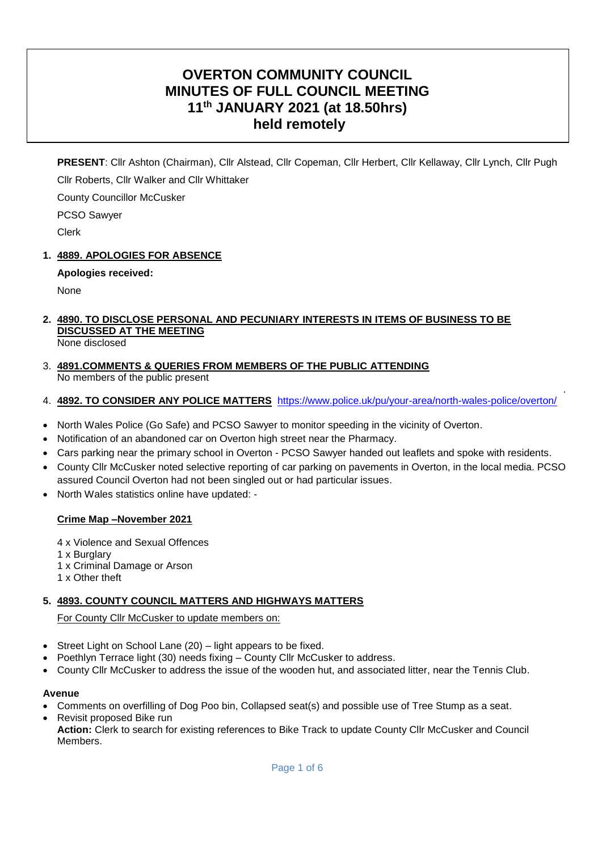# **OVERTON COMMUNITY COUNCIL MINUTES OF FULL COUNCIL MEETING 11th JANUARY 2021 (at 18.50hrs) held remotely**

**PRESENT**: Cllr Ashton (Chairman), Cllr Alstead, Cllr Copeman, Cllr Herbert, Cllr Kellaway, Cllr Lynch, Cllr Pugh Cllr Roberts, Cllr Walker and Cllr Whittaker

County Councillor McCusker

PCSO Sawyer

Clerk

## **1. 4889. APOLOGIES FOR ABSENCE**

## **Apologies received:**

None

# **2. 4890. TO DISCLOSE PERSONAL AND PECUNIARY INTERESTS IN ITEMS OF BUSINESS TO BE DISCUSSED AT THE MEETING**

- None disclosed
- 3. **4891.COMMENTS & QUERIES FROM MEMBERS OF THE PUBLIC ATTENDING**  No members of the public present

## 4. **4892. TO CONSIDER ANY POLICE MATTERS** <https://www.police.uk/pu/your-area/north-wales-police/overton/>

.

- North Wales Police (Go Safe) and PCSO Sawyer to monitor speeding in the vicinity of Overton.
- Notification of an abandoned car on Overton high street near the Pharmacy.
- Cars parking near the primary school in Overton PCSO Sawyer handed out leaflets and spoke with residents.
- County Cllr McCusker noted selective reporting of car parking on pavements in Overton, in the local media. PCSO assured Council Overton had not been singled out or had particular issues.
- North Wales statistics online have updated: -

## **Crime Map –November 2021**

4 x Violence and Sexual Offences 1 x Burglary 1 x Criminal Damage or Arson 1 x Other theft

## **5. 4893. COUNTY COUNCIL MATTERS AND HIGHWAYS MATTERS**

For County Cllr McCusker to update members on:

- Street Light on School Lane (20) light appears to be fixed.
- Poethlyn Terrace light (30) needs fixing County Cllr McCusker to address.
- County Cllr McCusker to address the issue of the wooden hut, and associated litter, near the Tennis Club.

#### **Avenue**

- Comments on overfilling of Dog Poo bin, Collapsed seat(s) and possible use of Tree Stump as a seat.
- Revisit proposed Bike run
- **Action:** Clerk to search for existing references to Bike Track to update County Cllr McCusker and Council **Members**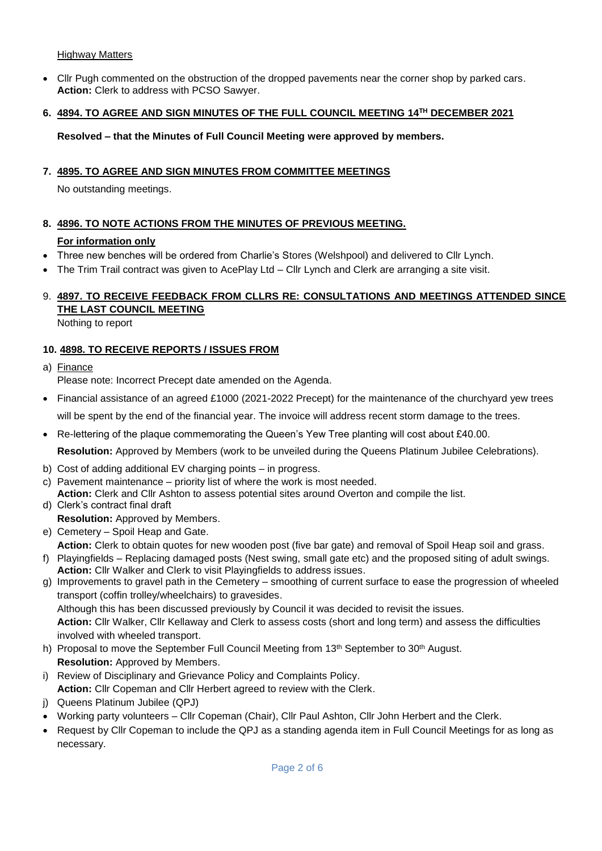#### Highway Matters

 Cllr Pugh commented on the obstruction of the dropped pavements near the corner shop by parked cars. **Action:** Clerk to address with PCSO Sawyer.

#### **6. 4894. TO AGREE AND SIGN MINUTES OF THE FULL COUNCIL MEETING 14TH DECEMBER 2021**

#### **Resolved – that the Minutes of Full Council Meeting were approved by members.**

#### **7. 4895. TO AGREE AND SIGN MINUTES FROM COMMITTEE MEETINGS**

No outstanding meetings.

### **8. 4896. TO NOTE ACTIONS FROM THE MINUTES OF PREVIOUS MEETING.**

#### **For information only**

- Three new benches will be ordered from Charlie's Stores (Welshpool) and delivered to Cllr Lynch.
- The Trim Trail contract was given to AcePlay Ltd Cllr Lynch and Clerk are arranging a site visit.

# 9. **4897. TO RECEIVE FEEDBACK FROM CLLRS RE: CONSULTATIONS AND MEETINGS ATTENDED SINCE THE LAST COUNCIL MEETING**

Nothing to report

### **10. 4898. TO RECEIVE REPORTS / ISSUES FROM**

a) Finance

Please note: Incorrect Precept date amended on the Agenda.

- Financial assistance of an agreed £1000 (2021-2022 Precept) for the maintenance of the churchyard yew trees will be spent by the end of the financial year. The invoice will address recent storm damage to the trees.
- Re-lettering of the plaque commemorating the Queen's Yew Tree planting will cost about £40.00.

**Resolution:** Approved by Members (work to be unveiled during the Queens Platinum Jubilee Celebrations).

- b) Cost of adding additional EV charging points in progress.
- c) Pavement maintenance priority list of where the work is most needed. **Action:** Clerk and Cllr Ashton to assess potential sites around Overton and compile the list.
- d) Clerk's contract final draft **Resolution:** Approved by Members.
- e) Cemetery Spoil Heap and Gate.
- **Action:** Clerk to obtain quotes for new wooden post (five bar gate) and removal of Spoil Heap soil and grass.
- f) Playingfields Replacing damaged posts (Nest swing, small gate etc) and the proposed siting of adult swings. **Action:** Cllr Walker and Clerk to visit Playingfields to address issues.
- g) Improvements to gravel path in the Cemetery smoothing of current surface to ease the progression of wheeled transport (coffin trolley/wheelchairs) to gravesides. Although this has been discussed previously by Council it was decided to revisit the issues. **Action:** Cllr Walker, Cllr Kellaway and Clerk to assess costs (short and long term) and assess the difficulties involved with wheeled transport.
- h) Proposal to move the September Full Council Meeting from 13th September to 30th August. **Resolution:** Approved by Members.
- i) Review of Disciplinary and Grievance Policy and Complaints Policy. **Action:** Cllr Copeman and Cllr Herbert agreed to review with the Clerk.
- j) Queens Platinum Jubilee (QPJ)
- Working party volunteers Cllr Copeman (Chair), Cllr Paul Ashton, Cllr John Herbert and the Clerk.
- Request by Cllr Copeman to include the QPJ as a standing agenda item in Full Council Meetings for as long as necessary.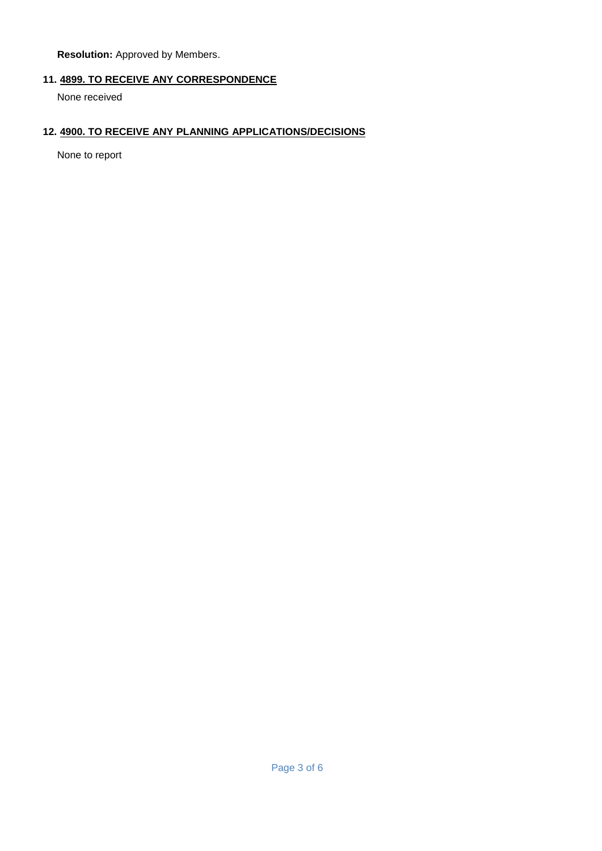**Resolution:** Approved by Members.

## **11. 4899. TO RECEIVE ANY CORRESPONDENCE**

None received

#### **12. 4900. TO RECEIVE ANY PLANNING APPLICATIONS/DECISIONS**

None to report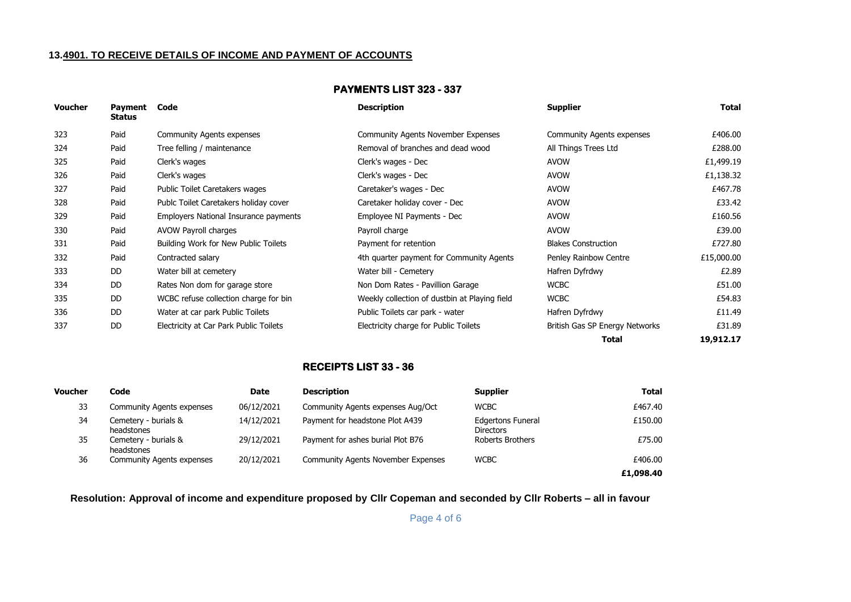## **13.4901. TO RECEIVE DETAILS OF INCOME AND PAYMENT OF ACCOUNTS**

#### **PAYMENTS LIST 323 - 337**

| <b>Voucher</b> | Payment<br><b>Status</b> | Code                                   | <b>Description</b>                            | <b>Supplier</b>                | Total      |
|----------------|--------------------------|----------------------------------------|-----------------------------------------------|--------------------------------|------------|
| 323            | Paid                     | <b>Community Agents expenses</b>       | <b>Community Agents November Expenses</b>     | Community Agents expenses      | £406.00    |
| 324            | Paid                     | Tree felling / maintenance             | Removal of branches and dead wood             | All Things Trees Ltd           | £288.00    |
| 325            | Paid                     | Clerk's wages                          | Clerk's wages - Dec                           | <b>AVOW</b>                    | £1,499.19  |
| 326            | Paid                     | Clerk's wages                          | Clerk's wages - Dec                           | <b>AVOW</b>                    | £1,138.32  |
| 327            | Paid                     | Public Toilet Caretakers wages         | Caretaker's wages - Dec                       | <b>AVOW</b>                    | £467.78    |
| 328            | Paid                     | Publc Toilet Caretakers holiday cover  | Caretaker holiday cover - Dec                 | <b>AVOW</b>                    | £33.42     |
| 329            | Paid                     | Employers National Insurance payments  | Employee NI Payments - Dec                    | <b>AVOW</b>                    | £160.56    |
| 330            | Paid                     | AVOW Payroll charges                   | Payroll charge                                | <b>AVOW</b>                    | £39.00     |
| 331            | Paid                     | Building Work for New Public Toilets   | Payment for retention                         | <b>Blakes Construction</b>     | £727.80    |
| 332            | Paid                     | Contracted salary                      | 4th quarter payment for Community Agents      | Penley Rainbow Centre          | £15,000.00 |
| 333            | DD.                      | Water bill at cemetery                 | Water bill - Cemetery                         | Hafren Dyfrdwy                 | £2.89      |
| 334            | DD.                      | Rates Non dom for garage store         | Non Dom Rates - Pavillion Garage              | <b>WCBC</b>                    | £51.00     |
| 335            | DD.                      | WCBC refuse collection charge for bin  | Weekly collection of dustbin at Playing field | <b>WCBC</b>                    | £54.83     |
| 336            | DD.                      | Water at car park Public Toilets       | Public Toilets car park - water               | Hafren Dyfrdwy                 | £11.49     |
| 337            | DD.                      | Electricity at Car Park Public Toilets | Electricity charge for Public Toilets         | British Gas SP Energy Networks | £31.89     |
|                |                          |                                        |                                               | Total                          | 19,912.17  |

#### **RECEIPTS LIST 33 - 36**

| <b>Voucher</b> | Code                               | Date       | <b>Description</b>                        | <b>Supplier</b>                              | <b>Total</b> |
|----------------|------------------------------------|------------|-------------------------------------------|----------------------------------------------|--------------|
| 33             | Community Agents expenses          | 06/12/2021 | Community Agents expenses Aug/Oct         | <b>WCBC</b>                                  | £467.40      |
| 34             | Cemetery - burials &<br>headstones | 14/12/2021 | Payment for headstone Plot A439           | <b>Edgertons Funeral</b><br><b>Directors</b> | £150.00      |
| 35             | Cemetery - burials &<br>headstones | 29/12/2021 | Payment for ashes burial Plot B76         | Roberts Brothers                             | £75.00       |
| 36             | <b>Community Agents expenses</b>   | 20/12/2021 | <b>Community Agents November Expenses</b> | <b>WCBC</b>                                  | £406.00      |
|                |                                    |            |                                           |                                              | £1,098.40    |

**Resolution: Approval of income and expenditure proposed by Cllr Copeman and seconded by Cllr Roberts – all in favour**

Page 4 of 6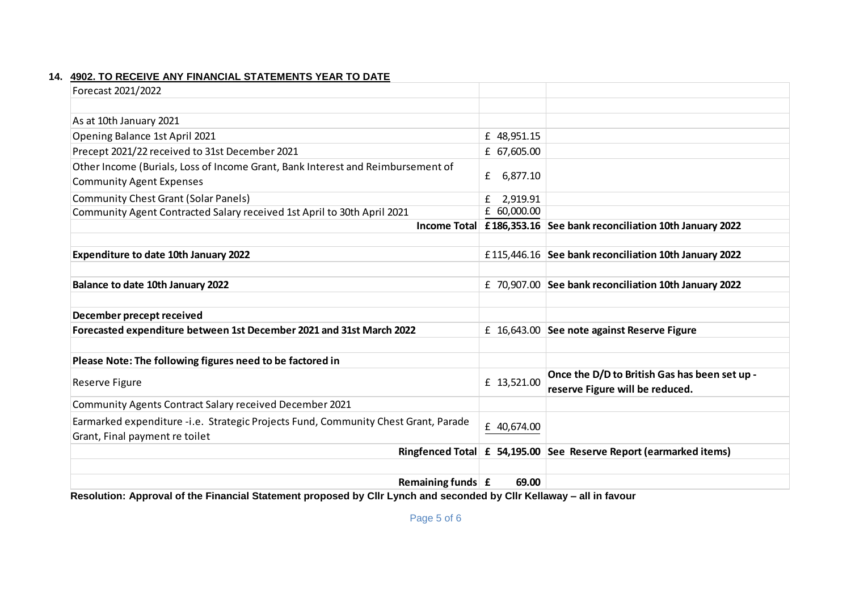## **14. 4902. TO RECEIVE ANY FINANCIAL STATEMENTS YEAR TO DATE**

| Forecast 2021/2022                                                                 |               |                                                                    |
|------------------------------------------------------------------------------------|---------------|--------------------------------------------------------------------|
|                                                                                    |               |                                                                    |
| As at 10th January 2021                                                            |               |                                                                    |
| Opening Balance 1st April 2021                                                     | £ 48,951.15   |                                                                    |
| Precept 2021/22 received to 31st December 2021                                     | £ 67,605.00   |                                                                    |
| Other Income (Burials, Loss of Income Grant, Bank Interest and Reimbursement of    |               |                                                                    |
| <b>Community Agent Expenses</b>                                                    | 6,877.10<br>£ |                                                                    |
| <b>Community Chest Grant (Solar Panels)</b>                                        | 2,919.91<br>£ |                                                                    |
| Community Agent Contracted Salary received 1st April to 30th April 2021            | £ 60,000.00   |                                                                    |
|                                                                                    |               | Income Total £186,353.16 See bank reconciliation 10th January 2022 |
|                                                                                    |               |                                                                    |
| <b>Expenditure to date 10th January 2022</b>                                       |               | £115,446.16 See bank reconciliation 10th January 2022              |
|                                                                                    |               |                                                                    |
| Balance to date 10th January 2022                                                  |               | £ 70,907.00 See bank reconciliation 10th January 2022              |
|                                                                                    |               |                                                                    |
| December precept received                                                          |               |                                                                    |
| Forecasted expenditure between 1st December 2021 and 31st March 2022               |               | £ 16,643.00 See note against Reserve Figure                        |
|                                                                                    |               |                                                                    |
| Please Note: The following figures need to be factored in                          |               |                                                                    |
| Reserve Figure                                                                     | £ 13,521.00   | Once the D/D to British Gas has been set up -                      |
|                                                                                    |               | reserve Figure will be reduced.                                    |
| Community Agents Contract Salary received December 2021                            |               |                                                                    |
| Earmarked expenditure -i.e. Strategic Projects Fund, Community Chest Grant, Parade | £ 40,674.00   |                                                                    |
| Grant, Final payment re toilet                                                     |               |                                                                    |
|                                                                                    |               | Ringfenced Total £ 54,195.00 See Reserve Report (earmarked items)  |
|                                                                                    |               |                                                                    |
| Remaining funds $\mathbf{f}$                                                       | 69.00         |                                                                    |

**Resolution: Approval of the Financial Statement proposed by Cllr Lynch and seconded by Cllr Kellaway – all in favour**

Page 5 of 6